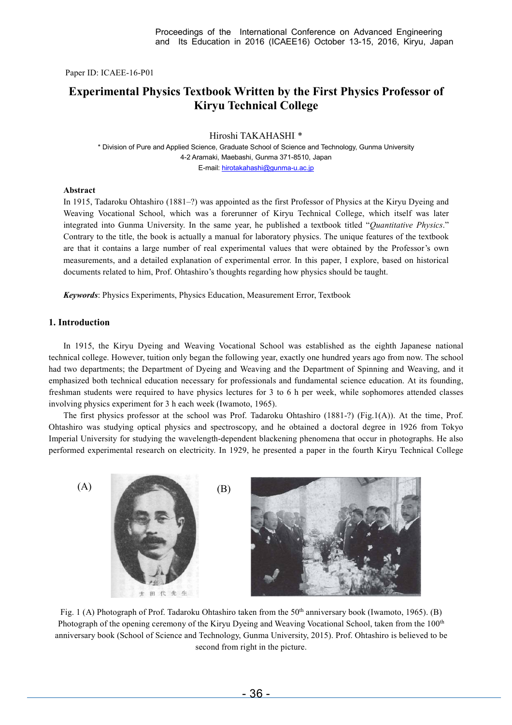Paper ID: ICAEE-16-P01

# **Experimental Physics Textbook Written by the First Physics Professor of Kiryu Technical College**

Hiroshi TAKAHASHI<sup>\*</sup>

\* Division of Pure and Applied Science, Graduate School of Science and Technology, Gunma University 4-2 Aramaki, Maebashi, Gunma 371-8510, Japan E-mail: hirotakahashi@gunma-u.ac.jp

### **Abstract**

In 1915, Tadaroku Ohtashiro (1881–?) was appointed as the first Professor of Physics at the Kiryu Dyeing and Weaving Vocational School, which was a forerunner of Kiryu Technical College, which itself was later integrated into Gunma University. In the same year, he published a textbook titled "*Quantitative Physics*." Contrary to the title, the book is actually a manual for laboratory physics. The unique features of the textbook are that it contains a large number of real experimental values that were obtained by the Professor's own measurements, and a detailed explanation of experimental error. In this paper, I explore, based on historical documents related to him, Prof. Ohtashiro's thoughts regarding how physics should be taught.

*Keywords*: Physics Experiments, Physics Education, Measurement Error, Textbook

# **1. Introduction**

In 1915, the Kiryu Dyeing and Weaving Vocational School was established as the eighth Japanese national technical college. However, tuition only began the following year, exactly one hundred years ago from now. The school had two departments; the Department of Dyeing and Weaving and the Department of Spinning and Weaving, and it emphasized both technical education necessary for professionals and fundamental science education. At its founding, freshman students were required to have physics lectures for 3 to 6 h per week, while sophomores attended classes involving physics experiment for 3 h each week (Iwamoto, 1965).

The first physics professor at the school was Prof. Tadaroku Ohtashiro (1881-?) (Fig.1(A)). At the time, Prof. Ohtashiro was studying optical physics and spectroscopy, and he obtained a doctoral degree in 1926 from Tokyo Imperial University for studying the wavelength-dependent blackening phenomena that occur in photographs. He also performed experimental research on electricity. In 1929, he presented a paper in the fourth Kiryu Technical College



Fig. 1 (A) Photograph of Prof. Tadaroku Ohtashiro taken from the  $50<sup>th</sup>$  anniversary book (Iwamoto, 1965). (B) Photograph of the opening ceremony of the Kiryu Dyeing and Weaving Vocational School, taken from the 100<sup>th</sup> anniversary book (School of Science and Technology, Gunma University, 2015). Prof. Ohtashiro is believed to be second from right in the picture.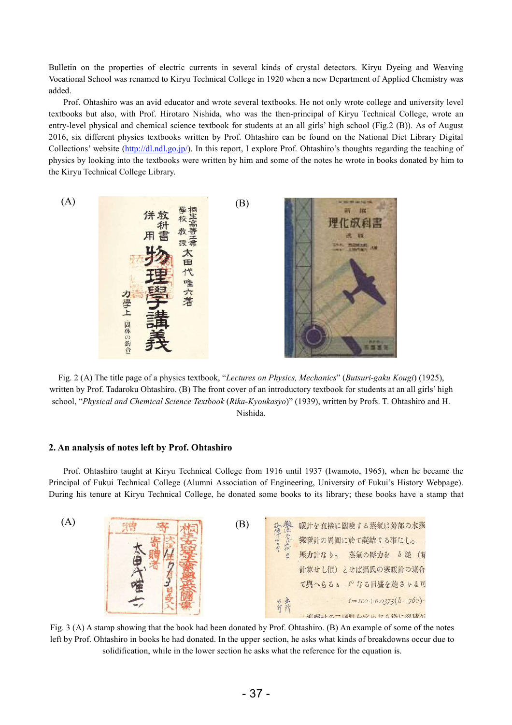Bulletin on the properties of electric currents in several kinds of crystal detectors. Kiryu Dyeing and Weaving Vocational School was renamed to Kiryu Technical College in 1920 when a new Department of Applied Chemistry was added.

Prof. Ohtashiro was an avid educator and wrote several textbooks. He not only wrote college and university level textbooks but also, with Prof. Hirotaro Nishida, who was the then-principal of Kiryu Technical College, wrote an entry-level physical and chemical science textbook for students at an all girls' high school (Fig.2 (B)). As of August 2016, six different physics textbooks written by Prof. Ohtashiro can be found on the National Diet Library Digital Collections' website (http://dl.ndl.go.jp/). In this report, I explore Prof. Ohtashiro's thoughts regarding the teaching of physics by looking into the textbooks were written by him and some of the notes he wrote in books donated by him to the Kiryu Technical College Library.



Fig. 2 (A) The title page of a physics textbook, "*Lectures on Physics, Mechanics*" (*Butsuri-gaku Kougi*) (1925), written by Prof. Tadaroku Ohtashiro. (B) The front cover of an introductory textbook for students at an all girls' high school, "*Physical and Chemical Science Textbook* (*Rika-Kyoukasyo*)" (1939), written by Profs. T. Ohtashiro and H. Nishida.

# **2. An analysis of notes left by Prof. Ohtashiro**

Prof. Ohtashiro taught at Kiryu Technical College from 1916 until 1937 (Iwamoto, 1965), when he became the Principal of Fukui Technical College (Alumni Association of Engineering, University of Fukui's History Webpage). During his tenure at Kiryu Technical College, he donated some books to its library; these books have a stamp that



Fig. 3 (A) A stamp showing that the book had been donated by Prof. Ohtashiro. (B) An example of some of the notes left by Prof. Ohtashiro in books he had donated. In the upper section, he asks what kinds of breakdowns occur due to solidification, while in the lower section he asks what the reference for the equation is.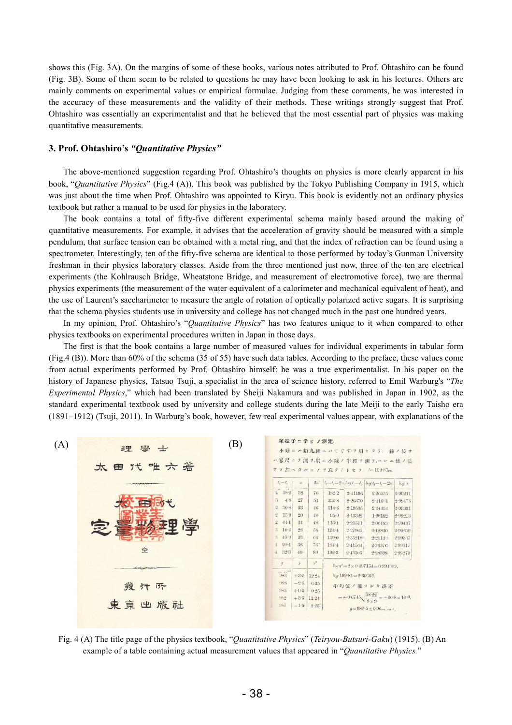shows this (Fig. 3A). On the margins of some of these books, various notes attributed to Prof. Ohtashiro can be found (Fig. 3B). Some of them seem to be related to questions he may have been looking to ask in his lectures. Others are mainly comments on experimental values or empirical formulae. Judging from these comments, he was interested in the accuracy of these measurements and the validity of their methods. These writings strongly suggest that Prof. Ohtashiro was essentially an experimentalist and that he believed that the most essential part of physics was making quantitative measurements.

# **3. Prof. Ohtashiro's** *"Quantitative Physics"*

The above-mentioned suggestion regarding Prof. Ohtashiro's thoughts on physics is more clearly apparent in his book, "*Quantitative Physics*" (Fig.4 (A)). This book was published by the Tokyo Publishing Company in 1915, which was just about the time when Prof. Ohtashiro was appointed to Kiryu. This book is evidently not an ordinary physics textbook but rather a manual to be used for physics in the laboratory.

The book contains a total of fifty-five different experimental schema mainly based around the making of quantitative measurements. For example, it advises that the acceleration of gravity should be measured with a simple pendulum, that surface tension can be obtained with a metal ring, and that the index of refraction can be found using a spectrometer. Interestingly, ten of the fifty-five schema are identical to those performed by today's Gunman University freshman in their physics laboratory classes. Aside from the three mentioned just now, three of the ten are electrical experiments (the Kohlrausch Bridge, Wheatstone Bridge, and measurement of electromotive force), two are thermal physics experiments (the measurement of the water equivalent of a calorimeter and mechanical equivalent of heat), and the use of Laurent's saccharimeter to measure the angle of rotation of optically polarized active sugars. It is surprising that the schema physics students use in university and college has not changed much in the past one hundred years.

In my opinion, Prof. Ohtashiro's "*Quantitative Physics*" has two features unique to it when compared to other physics textbooks on experimental procedures written in Japan in those days.

The first is that the book contains a large number of measured values for individual experiments in tabular form (Fig.4 (B)). More than 60% of the schema (35 of 55) have such data tables. According to the preface, these values come from actual experiments performed by Prof. Ohtashiro himself: he was a true experimentalist. In his paper on the history of Japanese physics, Tatsuo Tsuji, a specialist in the area of science history, referred to Emil Warburg's "*The Experimental Physics*," which had been translated by Sheiji Nakamura and was published in Japan in 1902, as the standard experimental textbook used by university and college students during the late Meiji to the early Taisho era (1891–1912) (Tsuji, 2011). In Warburg's book, however, few real experimental values appear, with explanations of the



Fig. 4 (A) The title page of the physics textbook, "*Quantitative Physics*" (*Teiryou-Butsuri-Gaku*) (1915). (B) An example of a table containing actual measurement values that appeared in "*Quantitative Physics.*"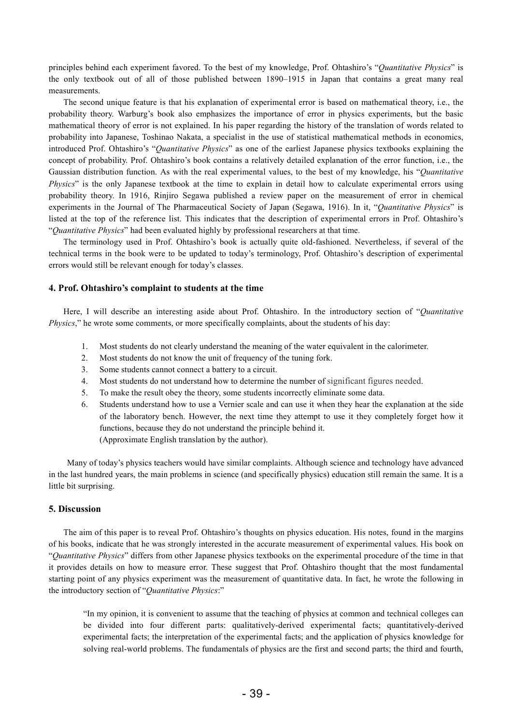principles behind each experiment favored. To the best of my knowledge, Prof. Ohtashiro's "*Quantitative Physics*" is the only textbook out of all of those published between 1890–1915 in Japan that contains a great many real measurements.

The second unique feature is that his explanation of experimental error is based on mathematical theory, i.e., the probability theory. Warburg's book also emphasizes the importance of error in physics experiments, but the basic mathematical theory of error is not explained. In his paper regarding the history of the translation of words related to probability into Japanese, Toshinao Nakata, a specialist in the use of statistical mathematical methods in economics, introduced Prof. Ohtashiro's "*Quantitative Physics*" as one of the earliest Japanese physics textbooks explaining the concept of probability. Prof. Ohtashiro's book contains a relatively detailed explanation of the error function, i.e., the Gaussian distribution function. As with the real experimental values, to the best of my knowledge, his "*Quantitative Physics*" is the only Japanese textbook at the time to explain in detail how to calculate experimental errors using probability theory. In 1916, Rinjiro Segawa published a review paper on the measurement of error in chemical experiments in the Journal of The Pharmaceutical Society of Japan (Segawa, 1916). In it, "*Quantitative Physics*" is listed at the top of the reference list. This indicates that the description of experimental errors in Prof. Ohtashiro's "*Quantitative Physics*" had been evaluated highly by professional researchers at that time.

The terminology used in Prof. Ohtashiro's book is actually quite old-fashioned. Nevertheless, if several of the technical terms in the book were to be updated to today's terminology, Prof. Ohtashiro's description of experimental errors would still be relevant enough for today's classes.

## **4. Prof. Ohtashiro's complaint to students at the time**

Here, I will describe an interesting aside about Prof. Ohtashiro. In the introductory section of "*Quantitative Physics*," he wrote some comments, or more specifically complaints, about the students of his day:

- 1. Most students do not clearly understand the meaning of the water equivalent in the calorimeter.
- 2. Most students do not know the unit of frequency of the tuning fork.
- 3. Some students cannot connect a battery to a circuit.
- 4. Most students do not understand how to determine the number of significant figures needed.
- 5. To make the result obey the theory, some students incorrectly eliminate some data.
- 6. Students understand how to use a Vernier scale and can use it when they hear the explanation at the side of the laboratory bench. However, the next time they attempt to use it they completely forget how it functions, because they do not understand the principle behind it. (Approximate English translation by the author).

Many of today's physics teachers would have similar complaints. Although science and technology have advanced in the last hundred years, the main problems in science (and specifically physics) education still remain the same. It is a little bit surprising.

#### **5. Discussion**

The aim of this paper is to reveal Prof. Ohtashiro's thoughts on physics education. His notes, found in the margins of his books, indicate that he was strongly interested in the accurate measurement of experimental values. His book on "*Quantitative Physics*" differs from other Japanese physics textbooks on the experimental procedure of the time in that it provides details on how to measure error. These suggest that Prof. Ohtashiro thought that the most fundamental starting point of any physics experiment was the measurement of quantitative data. In fact, he wrote the following in the introductory section of "*Quantitative Physics*:"

"In my opinion, it is convenient to assume that the teaching of physics at common and technical colleges can be divided into four different parts: qualitatively-derived experimental facts; quantitatively-derived experimental facts; the interpretation of the experimental facts; and the application of physics knowledge for solving real-world problems. The fundamentals of physics are the first and second parts; the third and fourth,